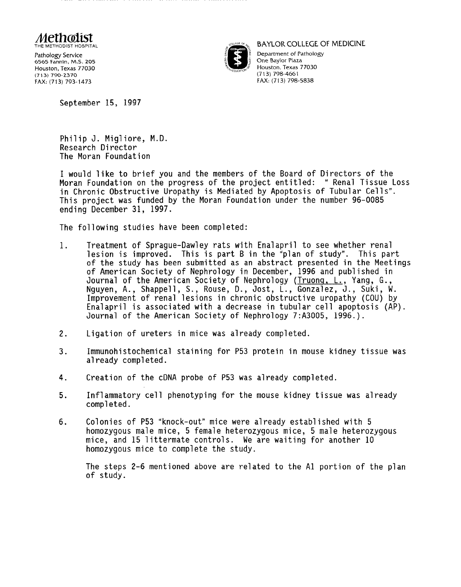

6565 Fannin, M.S. 205 Houston, Texas 77030 (713) 790-2370 FAX: (713) 793-1473



BAYLOR COLLEGE Of MEDICINE

Department of Pathology One Baylor Plaza Houston, Texas 77030 (713) 798-4661 FAX: (713) 798-5838

September 15, 1997

Philip J. Migliore, M.D. Research Director The Moran Foundation

I would like to brief you and the members of the Board of Directors of the Moran Foundation on the progress of the project entitled: "Renal Tissue Loss in Chronic Obstructive Uropathy is Mediated by Apoptosis of Tubular Cells". This project was funded by the Moran Foundation under the number 96-0085 ending December 31, 1997.

The following studies have been completed:

- 1. Treatment of Sprague-Dawley rats with Enalapril to see whether renal lesion is improved. This is part B in the "plan of study". This part of the study has been submitted as an abstract presented in the Meetings of American Society of Nephrology in December, 1996 and published in Journal of the American Society of Nephrology (Truong, L., Yang, G., Nguyen, A., Shappell, S., Rouse, D., Jost, L., Gonzalez, J., Suki, W. Improvement of renal lesions in chronic obstructive uropathy (COU) by Enalapril is associated with a decrease in tubular cell apoptosis (AP). Journal of the American Society of Nephrology 7:A3005, 1996.).
- 2. Ligation of ureters in mice was already completed.
- 3. Immunohistochemical staining for P53 protein in mouse kidney tissue was already completed.
- 4. Creation of the cDNA probe of P53 was already completed.
- 5. Inflammatory cell phenotyping for the mouse kidney tissue was already completed.
- 6. Colonies of P53 "knock-out" mice were already established with 5 homozygous male mice, 5 female heterozygous mice, 5 male heterozygous mice, and 15 littermate controls. We are waiting for another 10 homozygous mice to complete the study.

The steps 2-6 mentioned above are related to the Al portion of the plan of study.